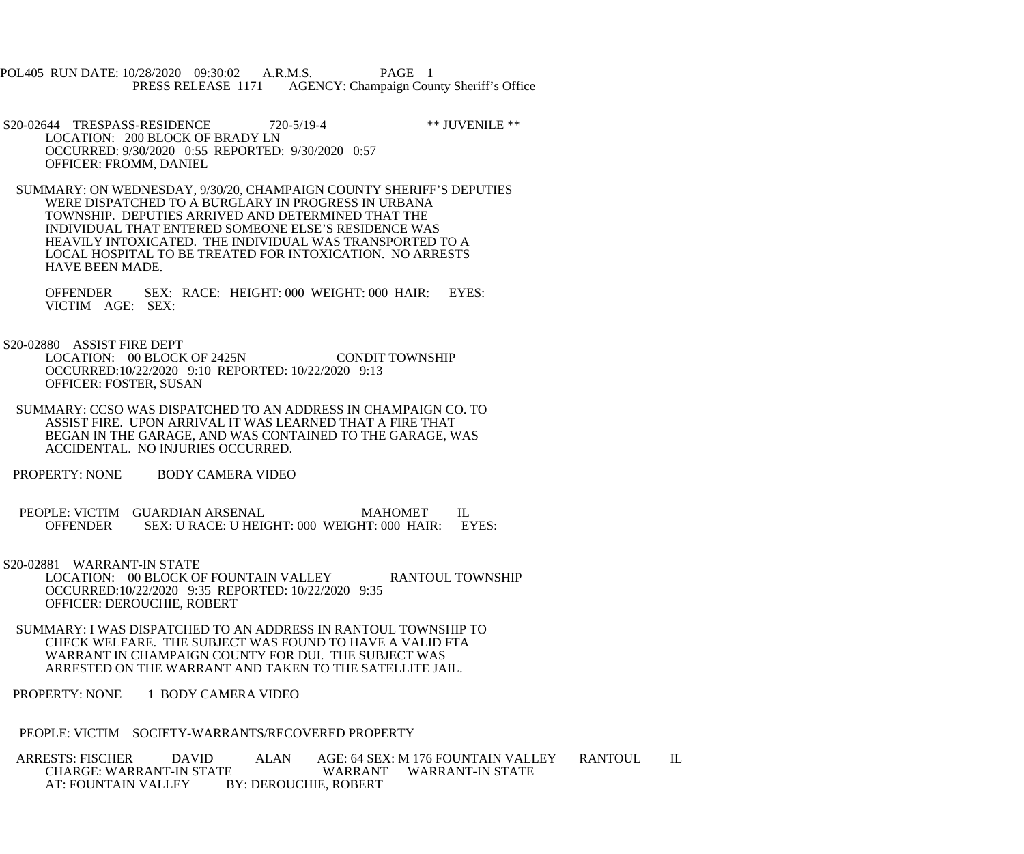POL405 RUN DATE: 10/28/2020 09:30:02 A.R.M.S. PAGE 1<br>PRESS RELEASE 1171 AGENCY: Champaign Cou AGENCY: Champaign County Sheriff's Office

S20-02644 TRESPASS-RESIDENCE 720-5/19-4 \*\* JUVENILE \*\* LOCATION: 200 BLOCK OF BRADY LN OCCURRED: 9/30/2020 0:55 REPORTED: 9/30/2020 0:57 OFFICER: FROMM, DANIEL

 SUMMARY: ON WEDNESDAY, 9/30/20, CHAMPAIGN COUNTY SHERIFF'S DEPUTIES WERE DISPATCHED TO A BURGLARY IN PROGRESS IN URBANA TOWNSHIP. DEPUTIES ARRIVED AND DETERMINED THAT THE INDIVIDUAL THAT ENTERED SOMEONE ELSE'S RESIDENCE WAS HEAVILY INTOXICATED. THE INDIVIDUAL WAS TRANSPORTED TO A LOCAL HOSPITAL TO BE TREATED FOR INTOXICATION. NO ARRESTS HAVE BEEN MADE.

 OFFENDER SEX: RACE: HEIGHT: 000 WEIGHT: 000 HAIR: EYES: VICTIM AGE: SEX:

S20-02880 ASSIST FIRE DEPT

LOCATION: 00 BLOCK OF 2425N CONDIT TOWNSHIP OCCURRED:10/22/2020 9:10 REPORTED: 10/22/2020 9:13 OFFICER: FOSTER, SUSAN

- SUMMARY: CCSO WAS DISPATCHED TO AN ADDRESS IN CHAMPAIGN CO. TO ASSIST FIRE. UPON ARRIVAL IT WAS LEARNED THAT A FIRE THAT BEGAN IN THE GARAGE, AND WAS CONTAINED TO THE GARAGE, WAS ACCIDENTAL. NO INJURIES OCCURRED.
- PROPERTY: NONE BODY CAMERA VIDEO

PEOPLE: VICTIM GUARDIAN ARSENAL MAHOMET IL OFFENDER SEX: U RACE: U HEIGHT: 000 WEIGHT: 000 HAIR: E SEX: U RACE: U HEIGHT: 000 WEIGHT: 000 HAIR: EYES:

 S20-02881 WARRANT-IN STATE LOCATION: 00 BLOCK OF FOUNTAIN VALLEY RANTOUL TOWNSHIP OCCURRED:10/22/2020 9:35 REPORTED: 10/22/2020 9:35 OFFICER: DEROUCHIE, ROBERT

- SUMMARY: I WAS DISPATCHED TO AN ADDRESS IN RANTOUL TOWNSHIP TO CHECK WELFARE. THE SUBJECT WAS FOUND TO HAVE A VALID FTA WARRANT IN CHAMPAIGN COUNTY FOR DUI. THE SUBJECT WAS ARRESTED ON THE WARRANT AND TAKEN TO THE SATELLITE JAIL.
- PROPERTY: NONE 1 BODY CAMERA VIDEO

PEOPLE: VICTIM SOCIETY-WARRANTS/RECOVERED PROPERTY

ARRESTS: FISCHER DAVID ALAN AGE: 64 SEX: M 176 FOUNTAIN VALLEY RANTOUL IL<br>CHARGE: WARRANT-IN STATE WARRANT WARRANT-IN STATE CHARGE: WARRANT-IN STATE<br>AT: FOUNTAIN VALLEY **BY: DEROUCHIE, ROBERT**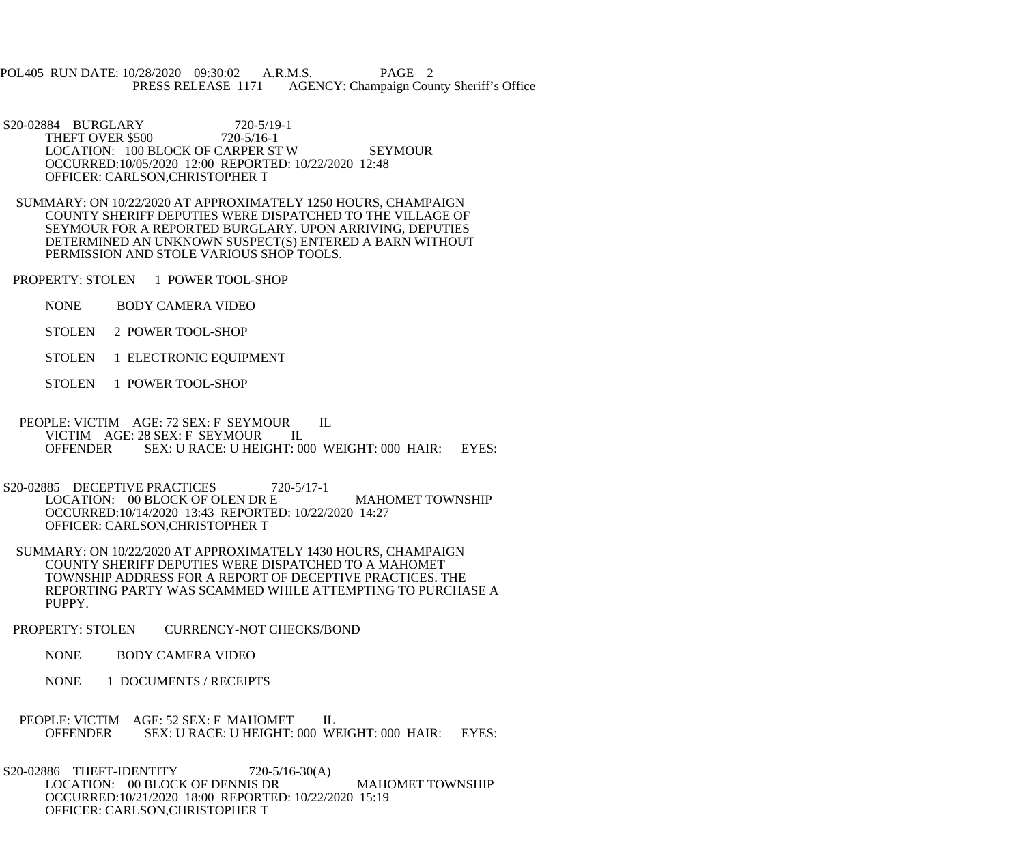POL405 RUN DATE: 10/28/2020 09:30:02 A.R.M.S. PAGE 2<br>PRESS RELEASE 1171 AGENCY: Champaign Cou AGENCY: Champaign County Sheriff's Office

S20-02884 BURGLARY 720-5/19-1<br>THEFT OVER \$500 720-5/16-1 THEFT OVER \$500 LOCATION: 100 BLOCK OF CARPER ST W SEYMOUR OCCURRED:10/05/2020 12:00 REPORTED: 10/22/2020 12:48 OFFICER: CARLSON,CHRISTOPHER T

 SUMMARY: ON 10/22/2020 AT APPROXIMATELY 1250 HOURS, CHAMPAIGN COUNTY SHERIFF DEPUTIES WERE DISPATCHED TO THE VILLAGE OF SEYMOUR FOR A REPORTED BURGLARY. UPON ARRIVING, DEPUTIES DETERMINED AN UNKNOWN SUSPECT(S) ENTERED A BARN WITHOUT PERMISSION AND STOLE VARIOUS SHOP TOOLS.

PROPERTY: STOLEN 1 POWER TOOL-SHOP

- NONE BODY CAMERA VIDEO
- STOLEN 2 POWER TOOL-SHOP
- STOLEN 1 ELECTRONIC EQUIPMENT
- STOLEN 1 POWER TOOL-SHOP
- PEOPLE: VICTIM AGE: 72 SEX: F SEYMOUR IL VICTIM AGE: 28 SEX: F SEYMOUR IL<br>OFFENDER SEX: U RACE: U HEIGHT: 0 SEX: U RACE: U HEIGHT: 000 WEIGHT: 000 HAIR: EYES:

S20-02885 DECEPTIVE PRACTICES 720-5/17-1 LOCATION: 00 BLOCK OF OLEN DR E MAHOMET TOWNSHIP OCCURRED:10/14/2020 13:43 REPORTED: 10/22/2020 14:27 OFFICER: CARLSON,CHRISTOPHER T

- SUMMARY: ON 10/22/2020 AT APPROXIMATELY 1430 HOURS, CHAMPAIGN COUNTY SHERIFF DEPUTIES WERE DISPATCHED TO A MAHOMET TOWNSHIP ADDRESS FOR A REPORT OF DECEPTIVE PRACTICES. THE REPORTING PARTY WAS SCAMMED WHILE ATTEMPTING TO PURCHASE A PUPPY.
- PROPERTY: STOLEN CURRENCY-NOT CHECKS/BOND
	- NONE BODY CAMERA VIDEO
	- NONE 1 DOCUMENTS / RECEIPTS
- PEOPLE: VICTIM AGE: 52 SEX: F MAHOMET IL<br>OFFENDER SEX: U RACE: U HEIGHT: 000 W SEX: U RACE: U HEIGHT: 000 WEIGHT: 000 HAIR: EYES:

S20-02886 THEFT-IDENTITY 720-5/16-30(A) LOCATION: 00 BLOCK OF DENNIS DR MAHOMET TOWNSHIP OCCURRED:10/21/2020 18:00 REPORTED: 10/22/2020 15:19 OFFICER: CARLSON,CHRISTOPHER T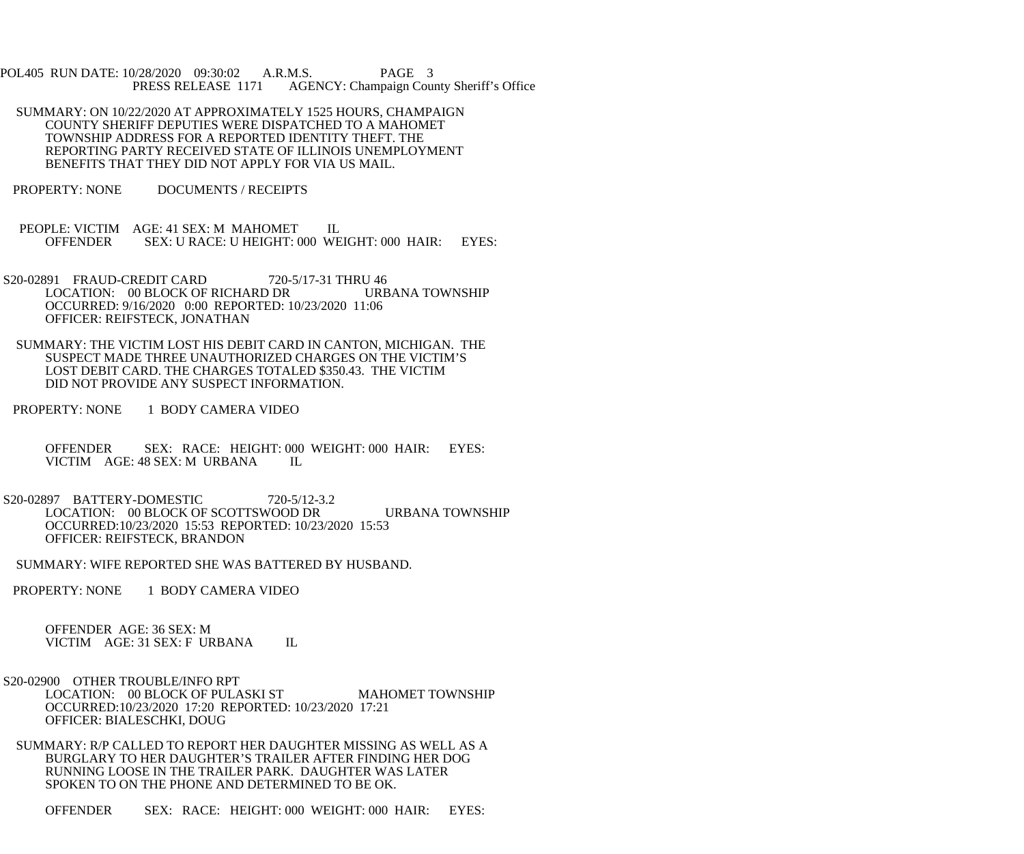POL405 RUN DATE: 10/28/2020 09:30:02 A.R.M.S. PAGE 3<br>PRESS RELEASE 1171 AGENCY: Champaign Cou AGENCY: Champaign County Sheriff's Office

- SUMMARY: ON 10/22/2020 AT APPROXIMATELY 1525 HOURS, CHAMPAIGN COUNTY SHERIFF DEPUTIES WERE DISPATCHED TO A MAHOMET TOWNSHIP ADDRESS FOR A REPORTED IDENTITY THEFT. THE REPORTING PARTY RECEIVED STATE OF ILLINOIS UNEMPLOYMENT BENEFITS THAT THEY DID NOT APPLY FOR VIA US MAIL.
- PROPERTY: NONE DOCUMENTS / RECEIPTS
- PEOPLE: VICTIM AGE: 41 SEX: M MAHOMET IL<br>OFFENDER SEX: U RACE: U HEIGHT: 000 WE SEX: U RACE: U HEIGHT: 000 WEIGHT: 000 HAIR: EYES:
- S20-02891 FRAUD-CREDIT CARD 720-5/17-31 THRU 46 LOCATION: 00 BLOCK OF RICHARD DR URBANA TOWNSHIP OCCURRED: 9/16/2020 0:00 REPORTED: 10/23/2020 11:06 OFFICER: REIFSTECK, JONATHAN
- SUMMARY: THE VICTIM LOST HIS DEBIT CARD IN CANTON, MICHIGAN. THE SUSPECT MADE THREE UNAUTHORIZED CHARGES ON THE VICTIM'S LOST DEBIT CARD. THE CHARGES TOTALED \$350.43. THE VICTIM DID NOT PROVIDE ANY SUSPECT INFORMATION.
- PROPERTY: NONE 1 BODY CAMERA VIDEO
	- OFFENDER SEX: RACE: HEIGHT: 000 WEIGHT: 000 HAIR: EYES:<br>VICTIM AGE: 48 SEX: M URBANA IL VICTIM AGE: 48 SEX: M URBANA
- S20-02897 BATTERY-DOMESTIC 720-5/12-3.2 LOCATION: 00 BLOCK OF SCOTTSWOOD DR URBANA TOWNSHIP OCCURRED:10/23/2020 15:53 REPORTED: 10/23/2020 15:53 OFFICER: REIFSTECK, BRANDON
- SUMMARY: WIFE REPORTED SHE WAS BATTERED BY HUSBAND.
- PROPERTY: NONE 1 BODY CAMERA VIDEO

 OFFENDER AGE: 36 SEX: M VICTIM AGE: 31 SEX: F URBANA IL

- S20-02900 OTHER TROUBLE/INFO RPT LOCATION: 00 BLOCK OF PULASKI ST MAHOMET TOWNSHIP OCCURRED:10/23/2020 17:20 REPORTED: 10/23/2020 17:21 OFFICER: BIALESCHKI, DOUG
	- SUMMARY: R/P CALLED TO REPORT HER DAUGHTER MISSING AS WELL AS A BURGLARY TO HER DAUGHTER'S TRAILER AFTER FINDING HER DOG RUNNING LOOSE IN THE TRAILER PARK. DAUGHTER WAS LATER SPOKEN TO ON THE PHONE AND DETERMINED TO BE OK.

OFFENDER SEX: RACE: HEIGHT: 000 WEIGHT: 000 HAIR: EYES: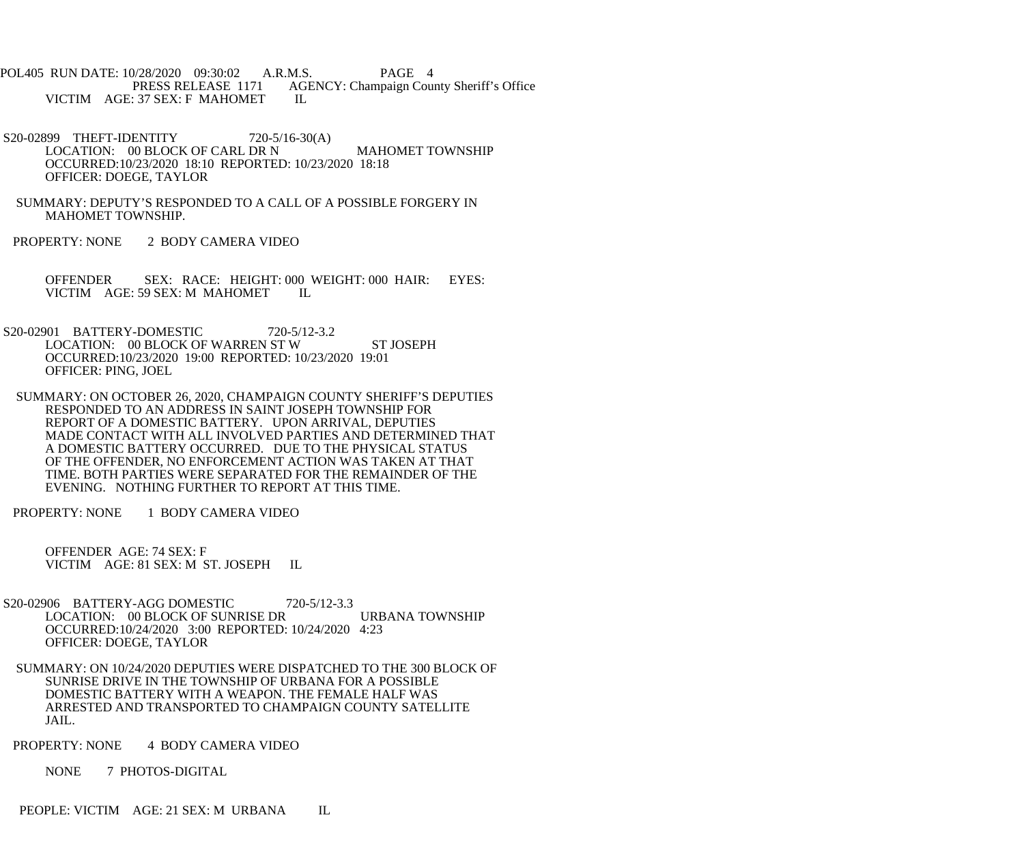POL405 RUN DATE: 10/28/2020 09:30:02 A.R.M.S. PAGE 4 PRESS RELEASE 1171 AGENCY: Champaign County Sheriff's Office VICTIM AGE: 37 SEX: F MAHOMET IL

S20-02899 THEFT-IDENTITY 720-5/16-30(A) LOCATION: 00 BLOCK OF CARL DR N MAHOMET TOWNSHIP OCCURRED:10/23/2020 18:10 REPORTED: 10/23/2020 18:18 OFFICER: DOEGE, TAYLOR

 SUMMARY: DEPUTY'S RESPONDED TO A CALL OF A POSSIBLE FORGERY IN MAHOMET TOWNSHIP.

PROPERTY: NONE 2 BODY CAMERA VIDEO

 OFFENDER SEX: RACE: HEIGHT: 000 WEIGHT: 000 HAIR: EYES: VICTIM AGE: 59 SEX: M MAHOMET IL

 S20-02901 BATTERY-DOMESTIC 720-5/12-3.2 LOCATION: 00 BLOCK OF WARREN ST W ST JOSEPH OCCURRED:10/23/2020 19:00 REPORTED: 10/23/2020 19:01 OFFICER: PING, JOEL

 SUMMARY: ON OCTOBER 26, 2020, CHAMPAIGN COUNTY SHERIFF'S DEPUTIES RESPONDED TO AN ADDRESS IN SAINT JOSEPH TOWNSHIP FOR REPORT OF A DOMESTIC BATTERY. UPON ARRIVAL, DEPUTIES MADE CONTACT WITH ALL INVOLVED PARTIES AND DETERMINED THAT A DOMESTIC BATTERY OCCURRED. DUE TO THE PHYSICAL STATUS OF THE OFFENDER, NO ENFORCEMENT ACTION WAS TAKEN AT THAT TIME. BOTH PARTIES WERE SEPARATED FOR THE REMAINDER OF THE EVENING. NOTHING FURTHER TO REPORT AT THIS TIME.

PROPERTY: NONE 1 BODY CAMERA VIDEO

 OFFENDER AGE: 74 SEX: F VICTIM AGE: 81 SEX: M ST. JOSEPH IL

- S20-02906 BATTERY-AGG DOMESTIC 720-5/12-3.3 LOCATION: 00 BLOCK OF SUNRISE DR URBANA TOWNSHIP OCCURRED:10/24/2020 3:00 REPORTED: 10/24/2020 4:23 OFFICER: DOEGE, TAYLOR
- SUMMARY: ON 10/24/2020 DEPUTIES WERE DISPATCHED TO THE 300 BLOCK OF SUNRISE DRIVE IN THE TOWNSHIP OF URBANA FOR A POSSIBLE DOMESTIC BATTERY WITH A WEAPON. THE FEMALE HALF WAS ARRESTED AND TRANSPORTED TO CHAMPAIGN COUNTY SATELLITE JAIL.

PROPERTY: NONE 4 BODY CAMERA VIDEO

NONE 7 PHOTOS-DIGITAL

PEOPLE: VICTIM AGE: 21 SEX: M URBANA IL